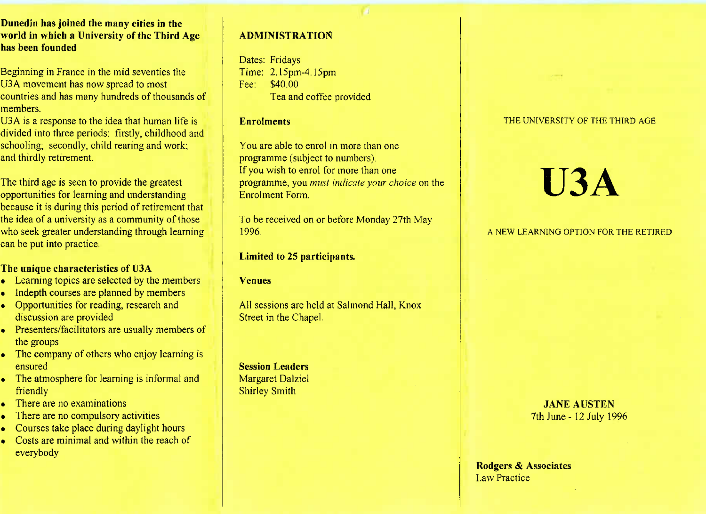**Dunedin has joined the many cities in the world in which a University of the Third Agehas been founded**

Beginning in France in the mid seventies theU3A movement has now spread to most countries and has many hundreds of thousands ofmembers.

U3A is a response to the idea that human life is divided into three periods: firstly, childhood andschooling; secondly, child rearing and work;and thirdly retirement.

The third age is seen to provide the greatest opportunities for learning and understanding because it is during this period of retirement that the idea of a university as a community of those who seek greater understanding through learningcan be put into practice.

## **The unique characteristics of U3A**

- Learning topics are selected by the members
- Indepth courses are planned by members
- Opportunities for reading, research and discussion are provided
- Presenters/facilitators are usually members ofthe groups
- The company of others who enjoy learning isensured
- The atmosphere for learning is informal andfriendly
- There are no examinations
- There are no compulsory activities
- Courses take place during daylight hours
- Costs are minimal and within the reach of everybody

## **ADMINISTRATION**

Dates: Fridays Time: 2.15pm-4.15pmFee: \$40.00Tea and coffee provided

## **Enrolments**

You are able to enrol in more than oneprogramme (subject to numbers).If you wish to enrol for more than one programme, you *must indicate your choice* on theEnrolment Form.

To be received on or before Monday 27th May1996.

**Limited to** 25 **participants.**

**Venues**

All sessions are held at Salmond Hall, KnoxStreet in the Chapel.

**Session Leaders** Margaret DalzielShirley Smith

## THE UNIVERSITY OF THE THIRD AGE

# **U3A**

#### A NEW LEARNING OPTION FOR THE RETIRED

**JANE AUSTEN**7th June- 12 July 1996

**Rodgers & Associates**Law Practice